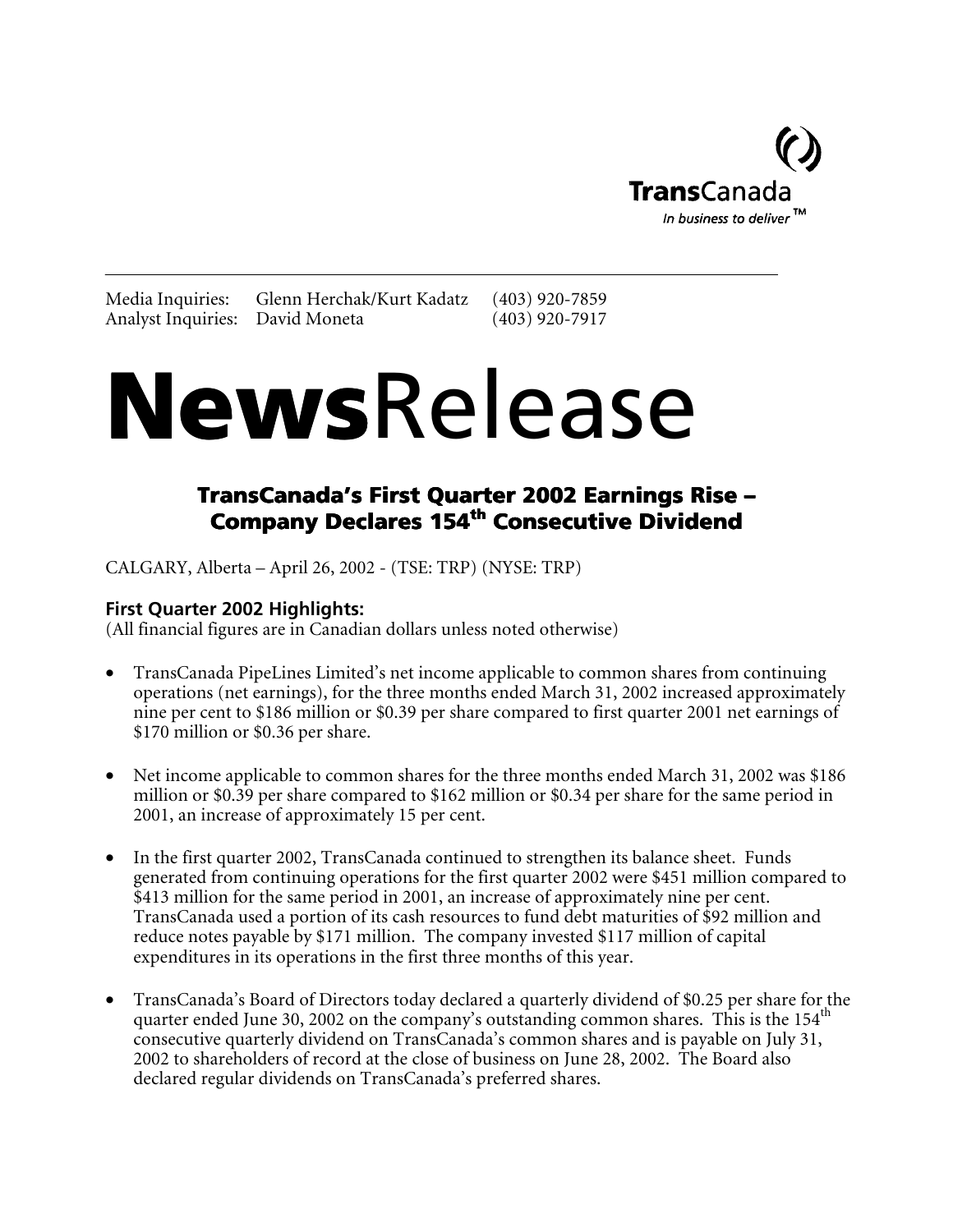

Media Inquiries: Glenn Herchak/Kurt Kadatz (403) 920-7859 Analyst Inquiries: David Moneta (403) 920-7917

# **NewsRelease**

### TransCanada's First Quarter 2002 Earnings Rise – Company Declares 154<sup>th</sup> Consecutive Dividend

CALGARY, Alberta – April 26, 2002 - (TSE: TRP) (NYSE: TRP)

**First Quarter 2002 Highlights:** (All financial figures are in Canadian dollars unless noted otherwise)

- TransCanada PipeLines Limited's net income applicable to common shares from continuing operations (net earnings), for the three months ended March 31, 2002 increased approximately nine per cent to \$186 million or \$0.39 per share compared to first quarter 2001 net earnings of \$170 million or \$0.36 per share.
- Net income applicable to common shares for the three months ended March 31, 2002 was \$186 million or \$0.39 per share compared to \$162 million or \$0.34 per share for the same period in 2001, an increase of approximately 15 per cent.
- In the first quarter 2002, TransCanada continued to strengthen its balance sheet. Funds generated from continuing operations for the first quarter 2002 were \$451 million compared to \$413 million for the same period in 2001, an increase of approximately nine per cent. TransCanada used a portion of its cash resources to fund debt maturities of \$92 million and reduce notes payable by \$171 million. The company invested \$117 million of capital expenditures in its operations in the first three months of this year.
- TransCanada's Board of Directors today declared a quarterly dividend of \$0.25 per share for the quarter ended June 30, 2002 on the company's outstanding common shares. This is the 154<sup>th</sup> consecutive quarterly dividend on TransCanada's common shares and is payable on July 31, 2002 to shareholders of record at the close of business on June 28, 2002. The Board also declared regular dividends on TransCanada's preferred shares.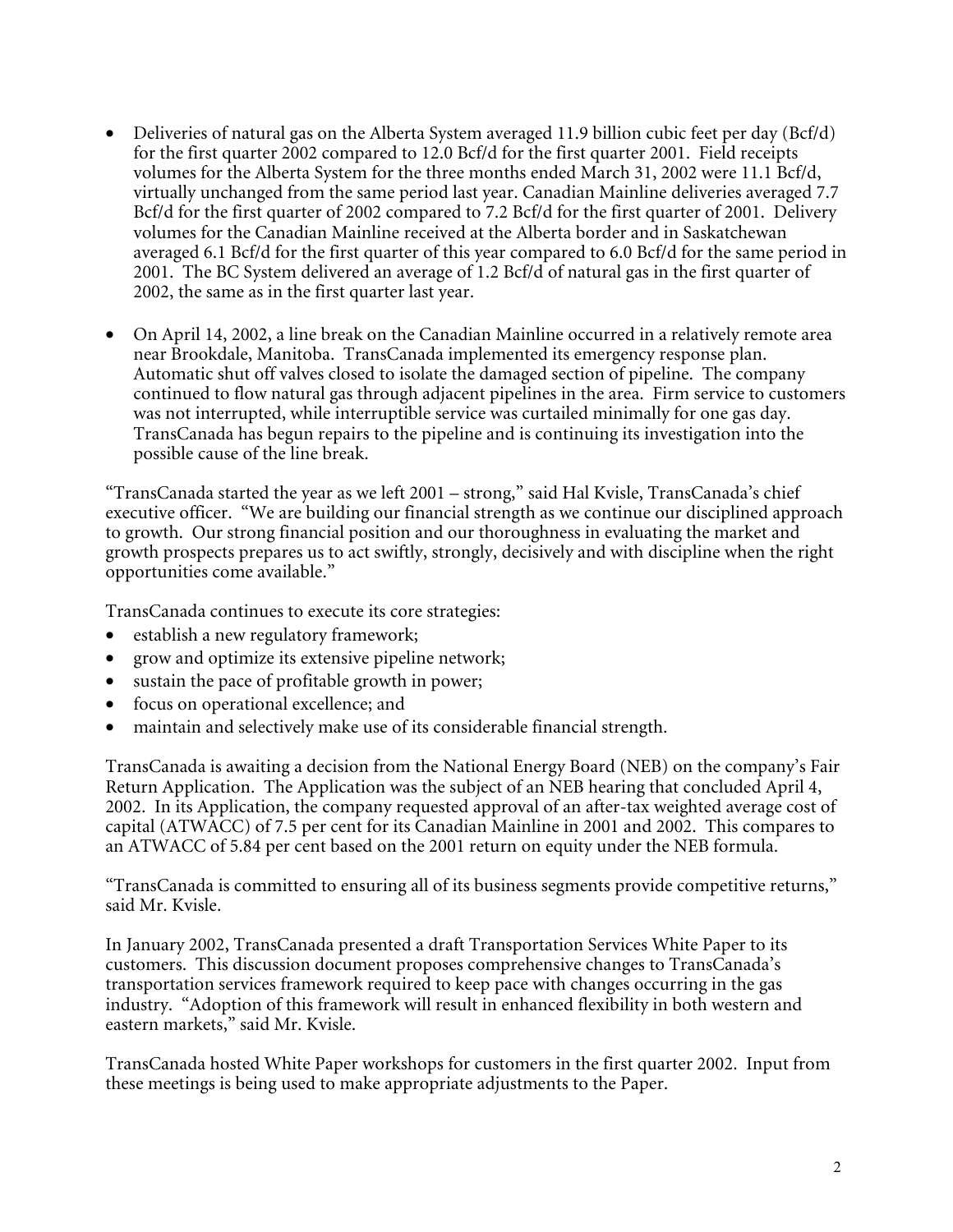- Deliveries of natural gas on the Alberta System averaged 11.9 billion cubic feet per day (Bcf/d) for the first quarter 2002 compared to 12.0 Bcf/d for the first quarter 2001. Field receipts volumes for the Alberta System for the three months ended March 31, 2002 were 11.1 Bcf/d, virtually unchanged from the same period last year. Canadian Mainline deliveries averaged 7.7 Bcf/d for the first quarter of 2002 compared to 7.2 Bcf/d for the first quarter of 2001. Delivery volumes for the Canadian Mainline received at the Alberta border and in Saskatchewan averaged 6.1 Bcf/d for the first quarter of this year compared to 6.0 Bcf/d for the same period in 2001. The BC System delivered an average of 1.2 Bcf/d of natural gas in the first quarter of 2002, the same as in the first quarter last year.
- On April 14, 2002, a line break on the Canadian Mainline occurred in a relatively remote area near Brookdale, Manitoba. TransCanada implemented its emergency response plan. Automatic shut off valves closed to isolate the damaged section of pipeline. The company continued to flow natural gas through adjacent pipelines in the area. Firm service to customers was not interrupted, while interruptible service was curtailed minimally for one gas day. TransCanada has begun repairs to the pipeline and is continuing its investigation into the possible cause of the line break.

"TransCanada started the year as we left 2001 – strong," said Hal Kvisle, TransCanada's chief executive officer. "We are building our financial strength as we continue our disciplined approach to growth. Our strong financial position and our thoroughness in evaluating the market and growth prospects prepares us to act swiftly, strongly, decisively and with discipline when the right opportunities come available."

TransCanada continues to execute its core strategies:

- establish a new regulatory framework;
- grow and optimize its extensive pipeline network;
- sustain the pace of profitable growth in power;
- focus on operational excellence; and
- maintain and selectively make use of its considerable financial strength.

TransCanada is awaiting a decision from the National Energy Board (NEB) on the company's Fair Return Application. The Application was the subject of an NEB hearing that concluded April 4, 2002. In its Application, the company requested approval of an after-tax weighted average cost of capital (ATWACC) of 7.5 per cent for its Canadian Mainline in 2001 and 2002. This compares to an ATWACC of 5.84 per cent based on the 2001 return on equity under the NEB formula.

"TransCanada is committed to ensuring all of its business segments provide competitive returns," said Mr. Kvisle.

In January 2002, TransCanada presented a draft Transportation Services White Paper to its customers. This discussion document proposes comprehensive changes to TransCanada's transportation services framework required to keep pace with changes occurring in the gas industry. "Adoption of this framework will result in enhanced flexibility in both western and eastern markets," said Mr. Kvisle.

TransCanada hosted White Paper workshops for customers in the first quarter 2002. Input from these meetings is being used to make appropriate adjustments to the Paper.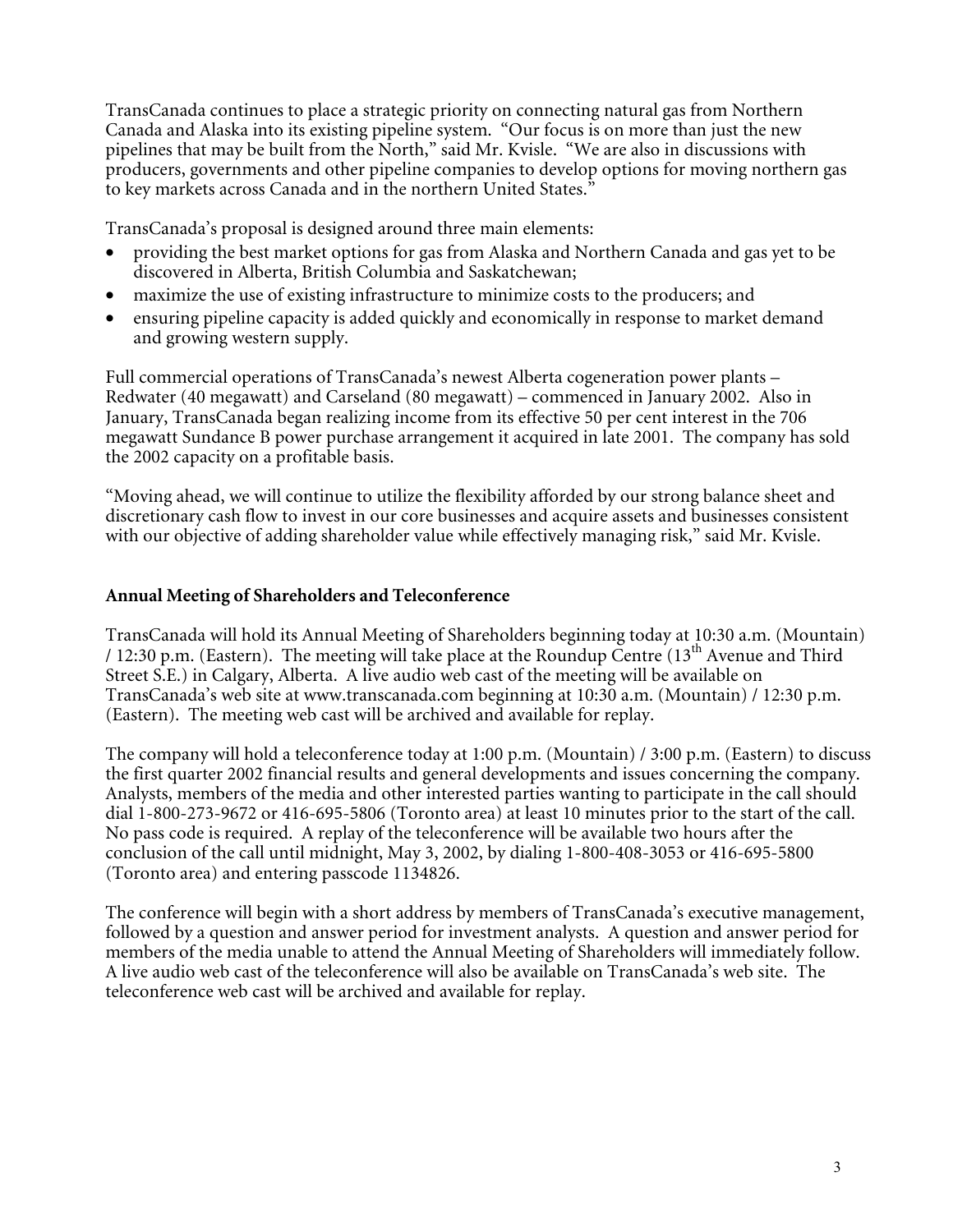TransCanada continues to place a strategic priority on connecting natural gas from Northern Canada and Alaska into its existing pipeline system. "Our focus is on more than just the new pipelines that may be built from the North," said Mr. Kvisle. "We are also in discussions with producers, governments and other pipeline companies to develop options for moving northern gas to key markets across Canada and in the northern United States."

TransCanada's proposal is designed around three main elements:

- providing the best market options for gas from Alaska and Northern Canada and gas yet to be discovered in Alberta, British Columbia and Saskatchewan;
- maximize the use of existing infrastructure to minimize costs to the producers; and
- ensuring pipeline capacity is added quickly and economically in response to market demand and growing western supply.

Full commercial operations of TransCanada's newest Alberta cogeneration power plants – Redwater (40 megawatt) and Carseland (80 megawatt) – commenced in January 2002. Also in January, TransCanada began realizing income from its effective 50 per cent interest in the 706 megawatt Sundance B power purchase arrangement it acquired in late 2001. The company has sold the 2002 capacity on a profitable basis.

"Moving ahead, we will continue to utilize the flexibility afforded by our strong balance sheet and discretionary cash flow to invest in our core businesses and acquire assets and businesses consistent with our objective of adding shareholder value while effectively managing risk," said Mr. Kvisle.

#### **Annual Meeting of Shareholders and Teleconference**

TransCanada will hold its Annual Meeting of Shareholders beginning today at 10:30 a.m. (Mountain) / 12:30 p.m. (Eastern). The meeting will take place at the Roundup Centre (13<sup>th</sup> Avenue and Third Street S.E.) in Calgary, Alberta. A live audio web cast of the meeting will be available on TransCanada's web site at www.transcanada.com beginning at 10:30 a.m. (Mountain) / 12:30 p.m. (Eastern). The meeting web cast will be archived and available for replay.

The company will hold a teleconference today at 1:00 p.m. (Mountain) / 3:00 p.m. (Eastern) to discuss the first quarter 2002 financial results and general developments and issues concerning the company. Analysts, members of the media and other interested parties wanting to participate in the call should dial 1-800-273-9672 or 416-695-5806 (Toronto area) at least 10 minutes prior to the start of the call. No pass code is required. A replay of the teleconference will be available two hours after the conclusion of the call until midnight, May 3, 2002, by dialing 1-800-408-3053 or 416-695-5800 (Toronto area) and entering passcode 1134826.

The conference will begin with a short address by members of TransCanada's executive management, followed by a question and answer period for investment analysts. A question and answer period for members of the media unable to attend the Annual Meeting of Shareholders will immediately follow. A live audio web cast of the teleconference will also be available on TransCanada's web site. The teleconference web cast will be archived and available for replay.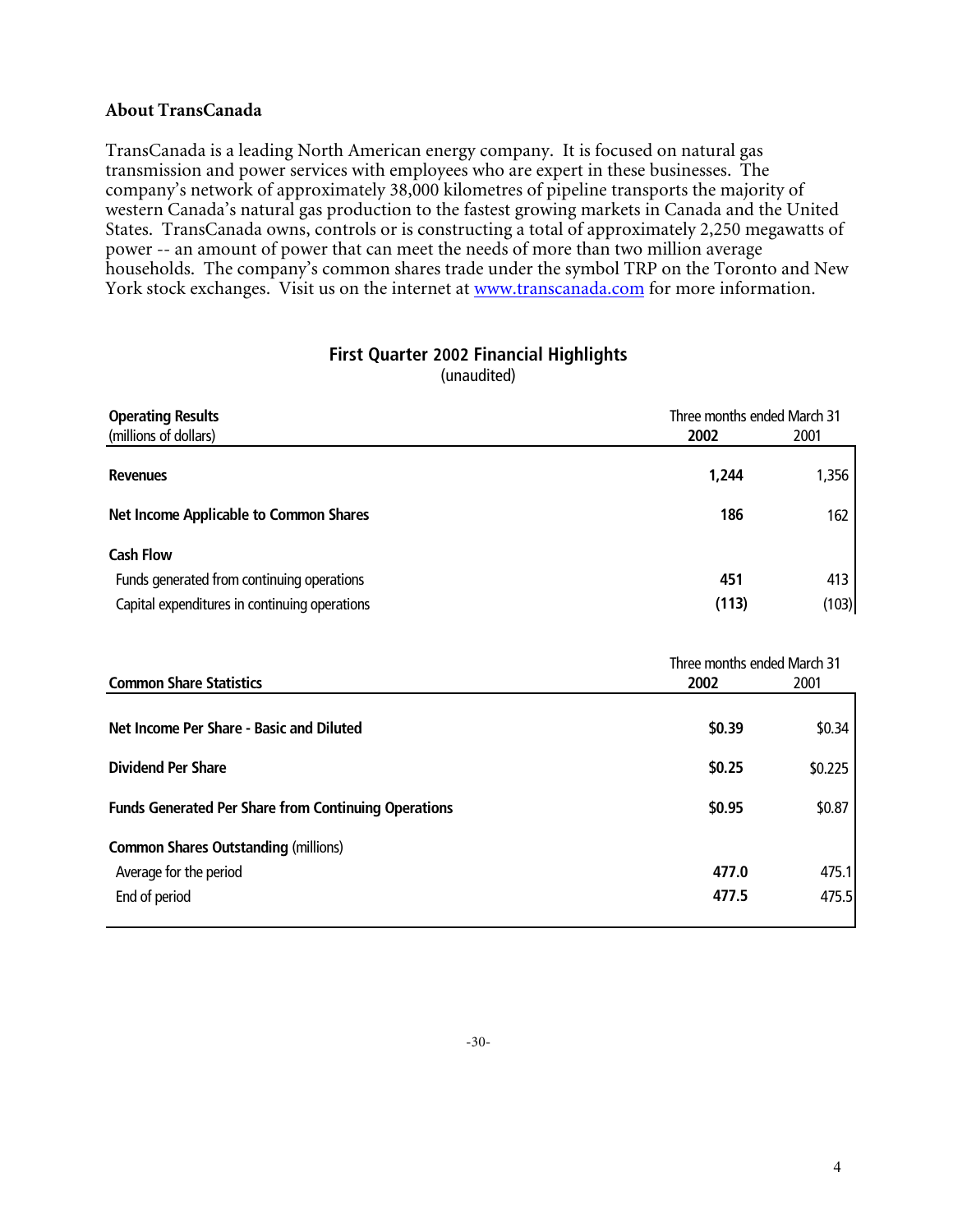#### **About TransCanada**

TransCanada is a leading North American energy company. It is focused on natural gas transmission and power services with employees who are expert in these businesses. The company's network of approximately 38,000 kilometres of pipeline transports the majority of western Canada's natural gas production to the fastest growing markets in Canada and the United States. TransCanada owns, controls or is constructing a total of approximately 2,250 megawatts of power -- an amount of power that can meet the needs of more than two million average households. The company's common shares trade under the symbol TRP on the Toronto and New York stock exchanges. Visit us on the internet at www.transcanada.com for more information.

#### **First Quarter 2002 Financial Highlights**

(unaudited)

| <b>Operating Results</b>                      | Three months ended March 31 |       |
|-----------------------------------------------|-----------------------------|-------|
| (millions of dollars)                         | 2002<br>2001                |       |
| <b>Revenues</b>                               | 1,356<br>1,244              |       |
| <b>Net Income Applicable to Common Shares</b> | 186                         | 162   |
| <b>Cash Flow</b>                              |                             |       |
| Funds generated from continuing operations    | 451                         | 413   |
| Capital expenditures in continuing operations | (113)                       | (103) |

|                                                             |        | Three months ended March 31 |  |
|-------------------------------------------------------------|--------|-----------------------------|--|
| <b>Common Share Statistics</b>                              | 2002   | 2001                        |  |
|                                                             |        |                             |  |
| Net Income Per Share - Basic and Diluted                    | \$0.39 | \$0.34                      |  |
|                                                             |        |                             |  |
| <b>Dividend Per Share</b>                                   | \$0.25 | \$0.225                     |  |
| <b>Funds Generated Per Share from Continuing Operations</b> | \$0.95 | \$0.87                      |  |
| <b>Common Shares Outstanding (millions)</b>                 |        |                             |  |
| Average for the period                                      | 477.0  | 475.1                       |  |
| End of period                                               | 477.5  | 475.5                       |  |
|                                                             |        |                             |  |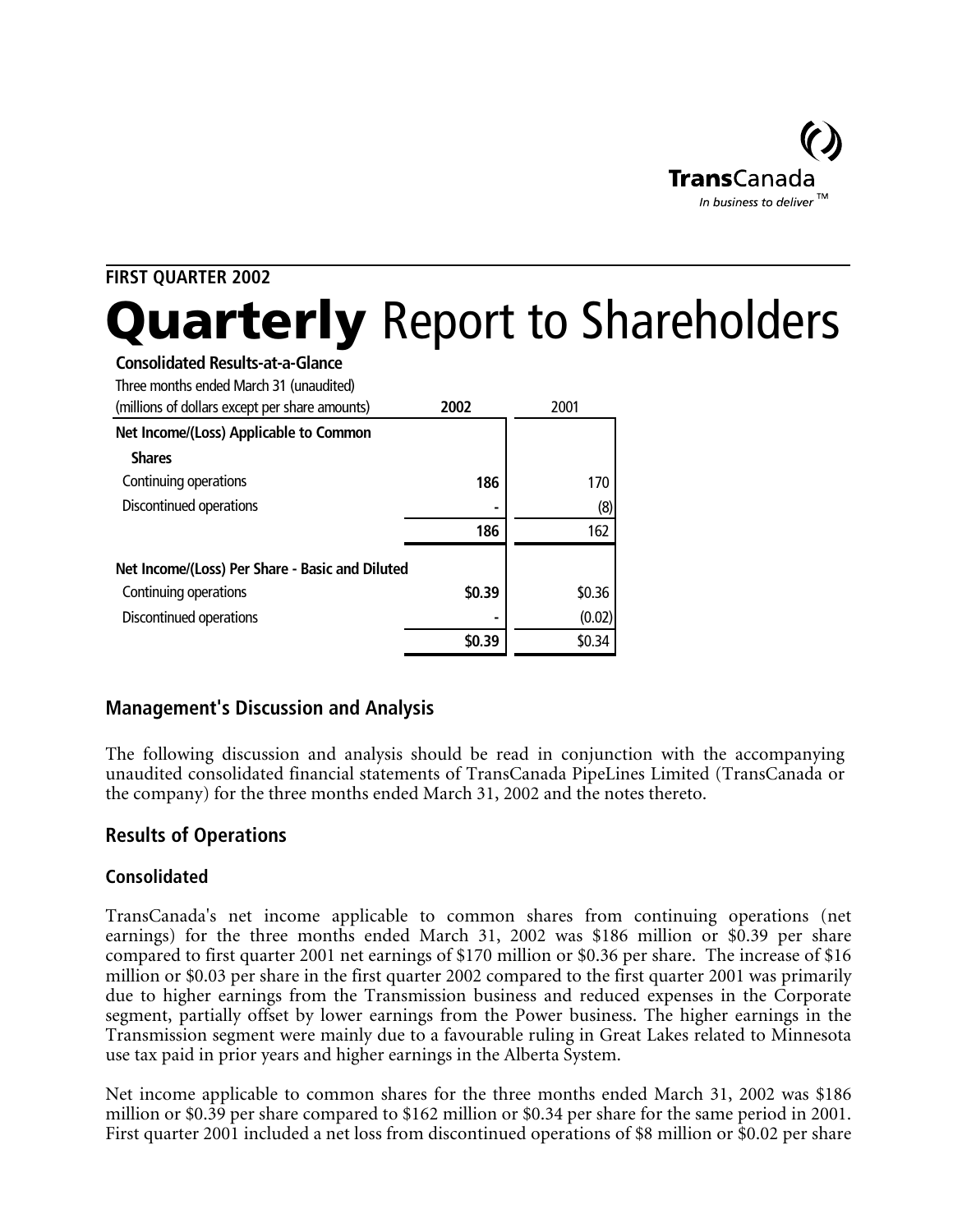

## **FIRST QUARTER 2002 Quarterly** Report to Shareholders

| <b>Consolidated Results-at-a-Glance</b> |
|-----------------------------------------|
|-----------------------------------------|

| Three months ended March 31 (unaudited)<br>(millions of dollars except per share amounts) | 2002   | 2001   |
|-------------------------------------------------------------------------------------------|--------|--------|
| Net Income/(Loss) Applicable to Common                                                    |        |        |
| <b>Shares</b>                                                                             |        |        |
| Continuing operations                                                                     | 186    | 170    |
| Discontinued operations                                                                   |        | (8)    |
|                                                                                           | 186    | 162    |
| Net Income/(Loss) Per Share - Basic and Diluted                                           |        |        |
| Continuing operations                                                                     | \$0.39 | \$0.36 |
| Discontinued operations                                                                   |        | (0.02) |
|                                                                                           | \$0.39 | \$0.34 |

#### **Management's Discussion and Analysis**

The following discussion and analysis should be read in conjunction with the accompanying unaudited consolidated financial statements of TransCanada PipeLines Limited (TransCanada or the company) for the three months ended March 31, 2002 and the notes thereto.

#### **Results of Operations**

#### **Consolidated**

TransCanada's net income applicable to common shares from continuing operations (net earnings) for the three months ended March 31, 2002 was \$186 million or \$0.39 per share compared to first quarter 2001 net earnings of \$170 million or \$0.36 per share. The increase of \$16 million or \$0.03 per share in the first quarter 2002 compared to the first quarter 2001 was primarily due to higher earnings from the Transmission business and reduced expenses in the Corporate segment, partially offset by lower earnings from the Power business. The higher earnings in the Transmission segment were mainly due to a favourable ruling in Great Lakes related to Minnesota use tax paid in prior years and higher earnings in the Alberta System.

Net income applicable to common shares for the three months ended March 31, 2002 was \$186 million or \$0.39 per share compared to \$162 million or \$0.34 per share for the same period in 2001. First quarter 2001 included a net loss from discontinued operations of \$8 million or \$0.02 per share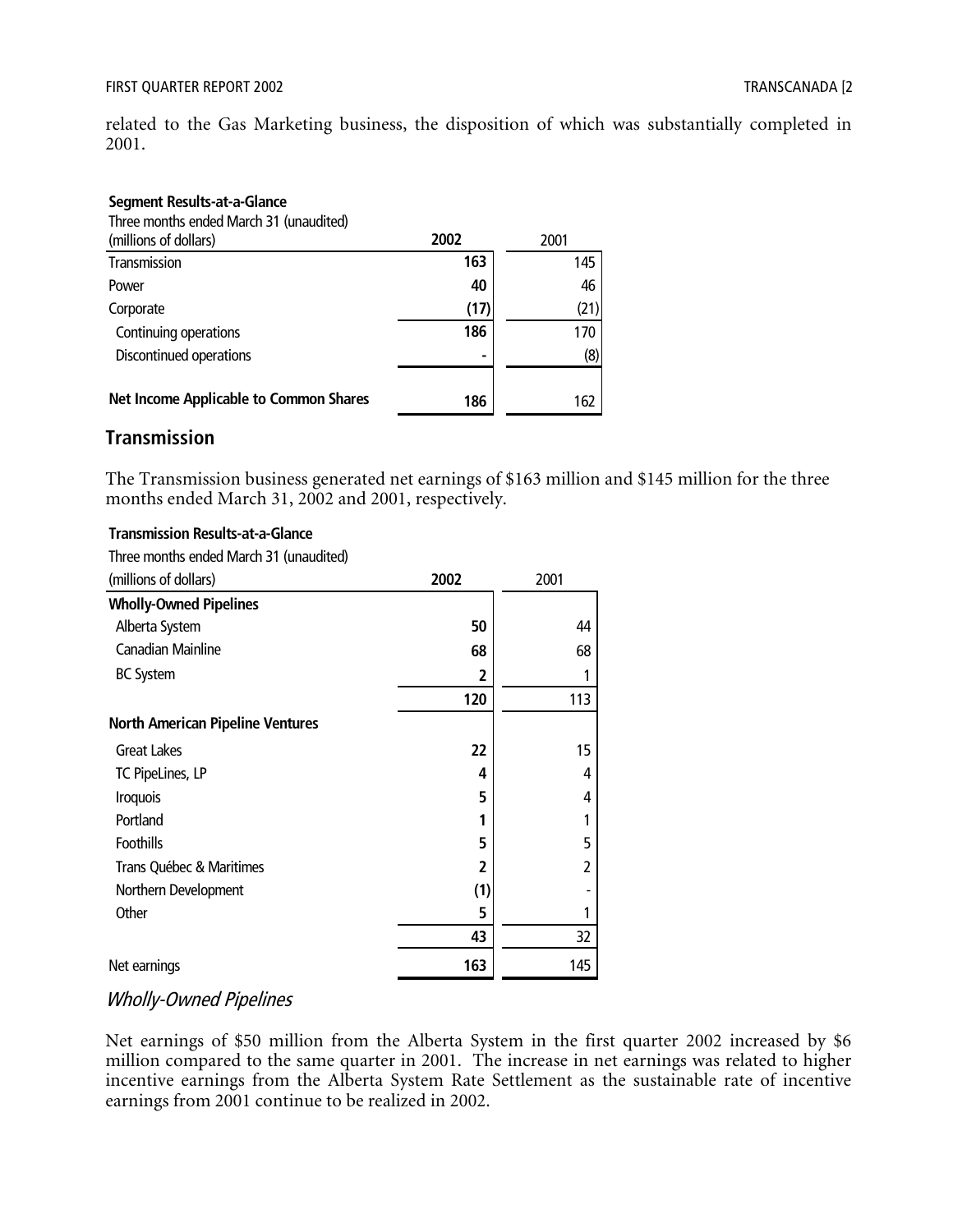related to the Gas Marketing business, the disposition of which was substantially completed in 2001.

#### **Segment Results-at-a-Glance**

| Three months ended March 31 (unaudited)       |                |      |
|-----------------------------------------------|----------------|------|
| (millions of dollars)                         | 2002           | 2001 |
| Transmission                                  | 163            | 145  |
| Power                                         | 40             | 46   |
| Corporate                                     | (17)           | (21) |
| Continuing operations                         | 186            | 170  |
| Discontinued operations                       | $\blacksquare$ | (8)  |
|                                               |                |      |
| <b>Net Income Applicable to Common Shares</b> | 186            | 162  |

#### **Transmission**

The Transmission business generated net earnings of \$163 million and \$145 million for the three months ended March 31, 2002 and 2001, respectively.

#### **Transmission Results-at-a-Glance**

Three months ended March 31 (unaudited)

| (millions of dollars)                   | 2002 | 2001                     |
|-----------------------------------------|------|--------------------------|
| <b>Wholly-Owned Pipelines</b>           |      |                          |
| Alberta System                          | 50   | 44                       |
| Canadian Mainline                       | 68   | 68                       |
| <b>BC System</b>                        | 2    | 1                        |
|                                         | 120  | 113                      |
| <b>North American Pipeline Ventures</b> |      |                          |
| <b>Great Lakes</b>                      | 22   | 15                       |
| TC PipeLines, LP                        | 4    | 4                        |
| Iroquois                                | 5    | 4                        |
| Portland                                | 1    | 1                        |
| Foothills                               | 5    | 5                        |
| Trans Québec & Maritimes                | 2    | $\overline{\phantom{a}}$ |
| Northern Development                    | (1)  |                          |
| Other                                   | 5    | 1                        |
|                                         | 43   | 32                       |
| Net earnings                            | 163  | 145                      |

#### Wholly-Owned Pipelines

Net earnings of \$50 million from the Alberta System in the first quarter 2002 increased by \$6 million compared to the same quarter in 2001. The increase in net earnings was related to higher incentive earnings from the Alberta System Rate Settlement as the sustainable rate of incentive earnings from 2001 continue to be realized in 2002.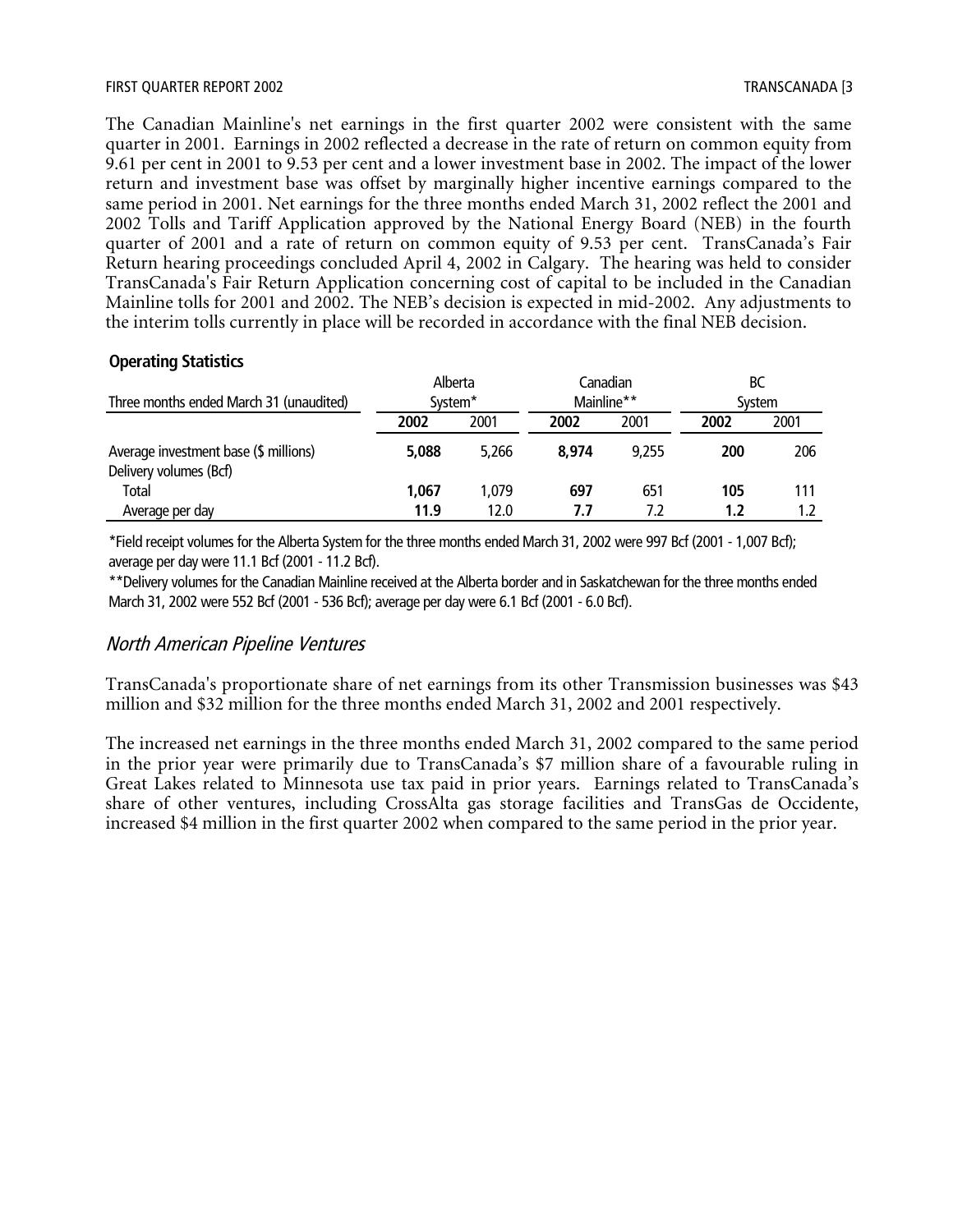The Canadian Mainline's net earnings in the first quarter 2002 were consistent with the same quarter in 2001. Earnings in 2002 reflected a decrease in the rate of return on common equity from 9.61 per cent in 2001 to 9.53 per cent and a lower investment base in 2002. The impact of the lower return and investment base was offset by marginally higher incentive earnings compared to the same period in 2001. Net earnings for the three months ended March 31, 2002 reflect the 2001 and 2002 Tolls and Tariff Application approved by the National Energy Board (NEB) in the fourth quarter of 2001 and a rate of return on common equity of 9.53 per cent. TransCanada's Fair Return hearing proceedings concluded April 4, 2002 in Calgary. The hearing was held to consider TransCanada's Fair Return Application concerning cost of capital to be included in the Canadian Mainline tolls for 2001 and 2002. The NEB's decision is expected in mid-2002. Any adjustments to the interim tolls currently in place will be recorded in accordance with the final NEB decision.

#### **Operating Statistics**

|                                                                 | Alberta             |       |       | Canadian   | ВС     |      |
|-----------------------------------------------------------------|---------------------|-------|-------|------------|--------|------|
| Three months ended March 31 (unaudited)                         | System <sup>*</sup> |       |       | Mainline** | System |      |
|                                                                 | 2002                | 2001  | 2002  | 2001       | 2002   | 2001 |
| Average investment base (\$ millions)<br>Delivery volumes (Bcf) | 5,088               | 5.266 | 8.974 | 9.255      | 200    | 206  |
| <b>Total</b>                                                    | 1.067               | 1.079 | 697   | 651        | 105    | 111  |
| Average per day                                                 | 11.9                | 12.0  | 7.7   | 7.2        | 1.2    |      |

\*Field receipt volumes for the Alberta System for the three months ended March 31, 2002 were 997 Bcf (2001 - 1,007 Bcf); average per day were 11.1 Bcf (2001 - 11.2 Bcf).

\*\*Delivery volumes for the Canadian Mainline received at the Alberta border and in Saskatchewan for the three months ended March 31, 2002 were 552 Bcf (2001 - 536 Bcf); average per day were 6.1 Bcf (2001 - 6.0 Bcf).

#### North American Pipeline Ventures

TransCanada's proportionate share of net earnings from its other Transmission businesses was \$43 million and \$32 million for the three months ended March 31, 2002 and 2001 respectively.

The increased net earnings in the three months ended March 31, 2002 compared to the same period in the prior year were primarily due to TransCanada's \$7 million share of a favourable ruling in Great Lakes related to Minnesota use tax paid in prior years. Earnings related to TransCanada's share of other ventures, including CrossAlta gas storage facilities and TransGas de Occidente, increased \$4 million in the first quarter 2002 when compared to the same period in the prior year.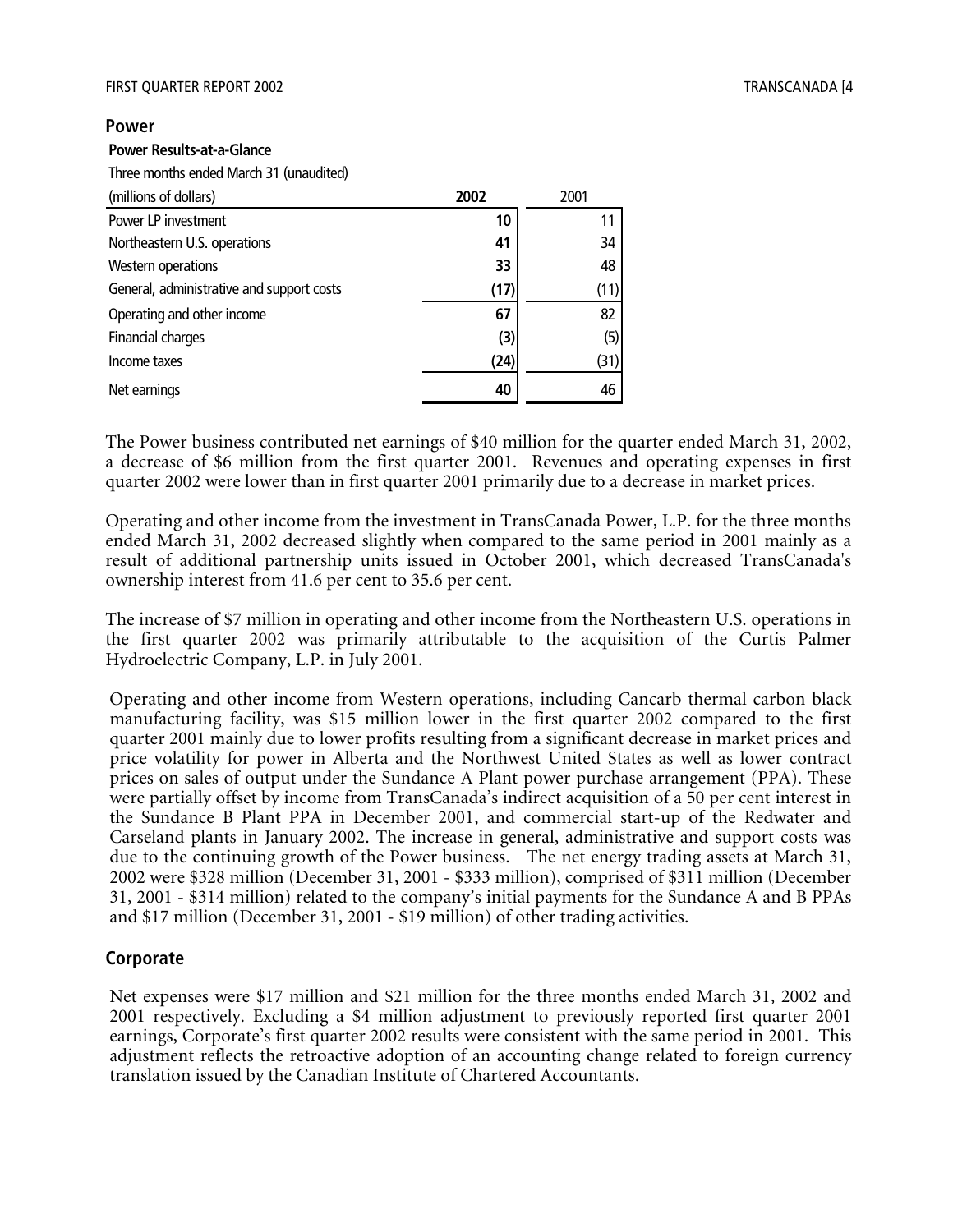#### **Power**

#### **Power Results-at-a-Glance**

Three months ended March 31 (unaudited)

| (millions of dollars)                     | 2002 | 2001 |
|-------------------------------------------|------|------|
| Power LP investment                       | 10   |      |
| Northeastern U.S. operations              | 41   | 34   |
| Western operations                        | 33   | 48   |
| General, administrative and support costs | (17) | (11) |
| Operating and other income                | 67   | 82   |
| Financial charges                         | (3)  | (5)  |
| Income taxes                              | (24) | (31) |
| Net earnings                              | 40   | 46   |

The Power business contributed net earnings of \$40 million for the quarter ended March 31, 2002, a decrease of \$6 million from the first quarter 2001. Revenues and operating expenses in first quarter 2002 were lower than in first quarter 2001 primarily due to a decrease in market prices.

Operating and other income from the investment in TransCanada Power, L.P. for the three months ended March 31, 2002 decreased slightly when compared to the same period in 2001 mainly as a result of additional partnership units issued in October 2001, which decreased TransCanada's ownership interest from 41.6 per cent to 35.6 per cent.

The increase of \$7 million in operating and other income from the Northeastern U.S. operations in the first quarter 2002 was primarily attributable to the acquisition of the Curtis Palmer Hydroelectric Company, L.P. in July 2001.

Operating and other income from Western operations, including Cancarb thermal carbon black manufacturing facility, was \$15 million lower in the first quarter 2002 compared to the first quarter 2001 mainly due to lower profits resulting from a significant decrease in market prices and price volatility for power in Alberta and the Northwest United States as well as lower contract prices on sales of output under the Sundance A Plant power purchase arrangement (PPA). These were partially offset by income from TransCanada's indirect acquisition of a 50 per cent interest in the Sundance B Plant PPA in December 2001, and commercial start-up of the Redwater and Carseland plants in January 2002. The increase in general, administrative and support costs was due to the continuing growth of the Power business. The net energy trading assets at March 31, 2002 were \$328 million (December 31, 2001 - \$333 million), comprised of \$311 million (December 31, 2001 - \$314 million) related to the company's initial payments for the Sundance A and B PPAs and \$17 million (December 31, 2001 - \$19 million) of other trading activities.

#### **Corporate**

Net expenses were \$17 million and \$21 million for the three months ended March 31, 2002 and 2001 respectively. Excluding a \$4 million adjustment to previously reported first quarter 2001 earnings, Corporate's first quarter 2002 results were consistent with the same period in 2001. This adjustment reflects the retroactive adoption of an accounting change related to foreign currency translation issued by the Canadian Institute of Chartered Accountants.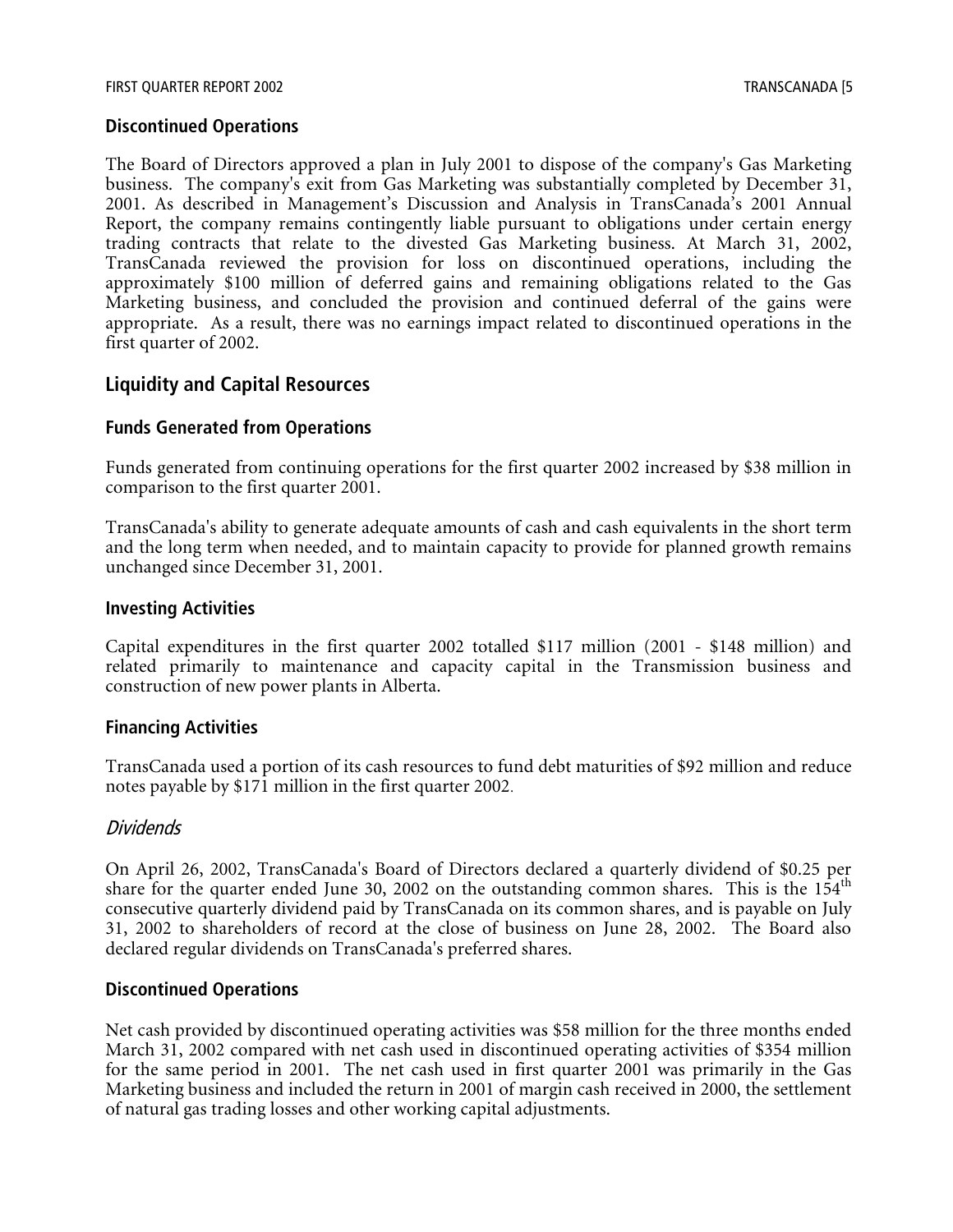#### **Discontinued Operations**

The Board of Directors approved a plan in July 2001 to dispose of the company's Gas Marketing business. The company's exit from Gas Marketing was substantially completed by December 31, 2001. As described in Management's Discussion and Analysis in TransCanada's 2001 Annual Report, the company remains contingently liable pursuant to obligations under certain energy trading contracts that relate to the divested Gas Marketing business. At March 31, 2002, TransCanada reviewed the provision for loss on discontinued operations, including the approximately \$100 million of deferred gains and remaining obligations related to the Gas Marketing business, and concluded the provision and continued deferral of the gains were appropriate. As a result, there was no earnings impact related to discontinued operations in the first quarter of 2002.

#### **Liquidity and Capital Resources**

#### **Funds Generated from Operations**

Funds generated from continuing operations for the first quarter 2002 increased by \$38 million in comparison to the first quarter 2001.

TransCanada's ability to generate adequate amounts of cash and cash equivalents in the short term and the long term when needed, and to maintain capacity to provide for planned growth remains unchanged since December 31, 2001.

#### **Investing Activities**

Capital expenditures in the first quarter 2002 totalled \$117 million (2001 - \$148 million) and related primarily to maintenance and capacity capital in the Transmission business and construction of new power plants in Alberta.

#### **Financing Activities**

TransCanada used a portion of its cash resources to fund debt maturities of \$92 million and reduce notes payable by \$171 million in the first quarter 2002.

#### Dividends

On April 26, 2002, TransCanada's Board of Directors declared a quarterly dividend of \$0.25 per share for the quarter ended June 30, 2002 on the outstanding common shares. This is the  $154<sup>th</sup>$ consecutive quarterly dividend paid by TransCanada on its common shares, and is payable on July 31, 2002 to shareholders of record at the close of business on June 28, 2002. The Board also declared regular dividends on TransCanada's preferred shares.

#### **Discontinued Operations**

Net cash provided by discontinued operating activities was \$58 million for the three months ended March 31, 2002 compared with net cash used in discontinued operating activities of \$354 million for the same period in 2001. The net cash used in first quarter 2001 was primarily in the Gas Marketing business and included the return in 2001 of margin cash received in 2000, the settlement of natural gas trading losses and other working capital adjustments.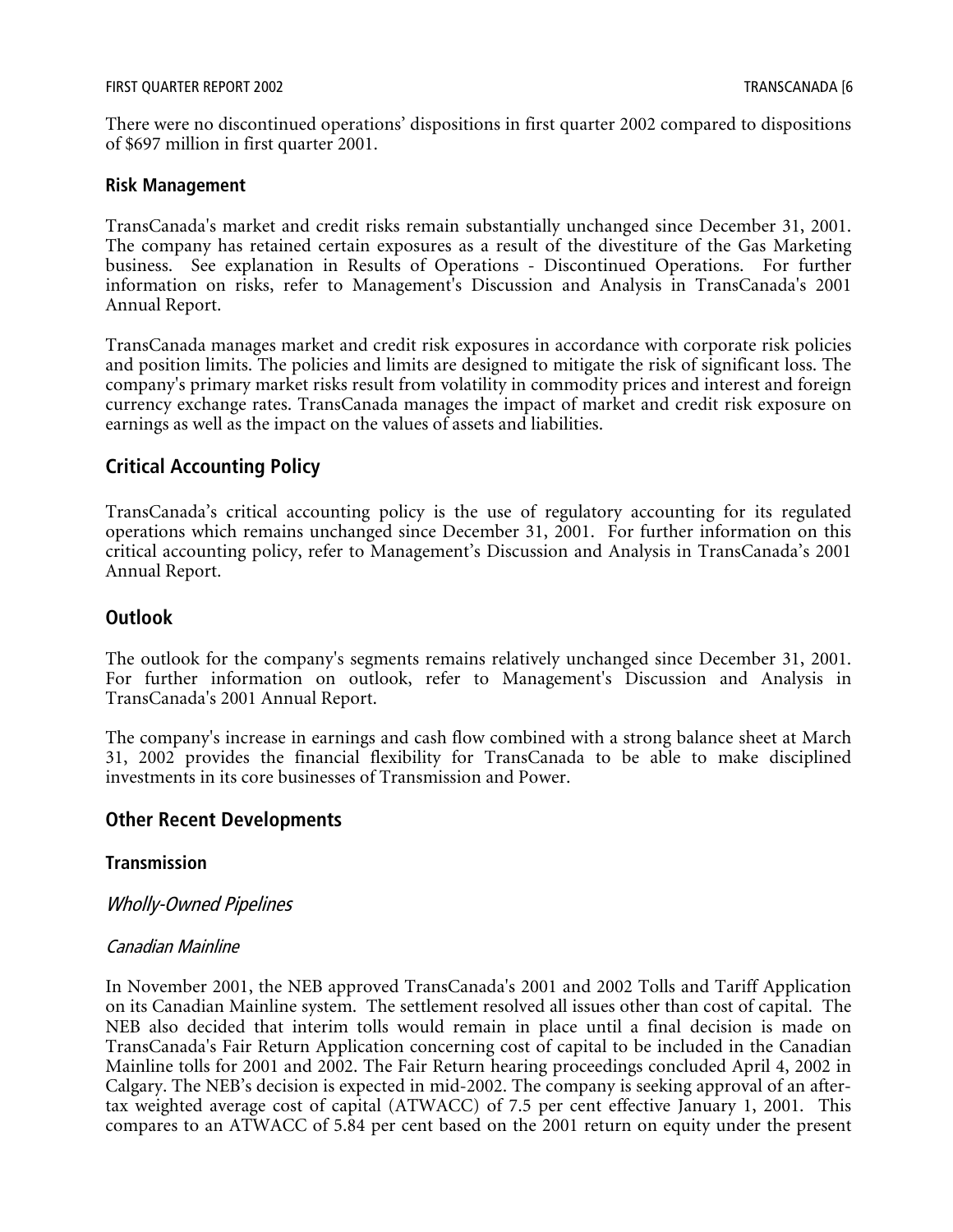There were no discontinued operations' dispositions in first quarter 2002 compared to dispositions of \$697 million in first quarter 2001.

#### **Risk Management**

TransCanada's market and credit risks remain substantially unchanged since December 31, 2001. The company has retained certain exposures as a result of the divestiture of the Gas Marketing business. See explanation in Results of Operations - Discontinued Operations. For further information on risks, refer to Management's Discussion and Analysis in TransCanada's 2001 Annual Report.

TransCanada manages market and credit risk exposures in accordance with corporate risk policies and position limits. The policies and limits are designed to mitigate the risk of significant loss. The company's primary market risks result from volatility in commodity prices and interest and foreign currency exchange rates. TransCanada manages the impact of market and credit risk exposure on earnings as well as the impact on the values of assets and liabilities.

#### **Critical Accounting Policy**

TransCanada's critical accounting policy is the use of regulatory accounting for its regulated operations which remains unchanged since December 31, 2001. For further information on this critical accounting policy, refer to Management's Discussion and Analysis in TransCanada's 2001 Annual Report.

#### **Outlook**

The outlook for the company's segments remains relatively unchanged since December 31, 2001. For further information on outlook, refer to Management's Discussion and Analysis in TransCanada's 2001 Annual Report.

The company's increase in earnings and cash flow combined with a strong balance sheet at March 31, 2002 provides the financial flexibility for TransCanada to be able to make disciplined investments in its core businesses of Transmission and Power.

#### **Other Recent Developments**

#### **Transmission**

Wholly-Owned Pipelines

#### Canadian Mainline

In November 2001, the NEB approved TransCanada's 2001 and 2002 Tolls and Tariff Application on its Canadian Mainline system. The settlement resolved all issues other than cost of capital. The NEB also decided that interim tolls would remain in place until a final decision is made on TransCanada's Fair Return Application concerning cost of capital to be included in the Canadian Mainline tolls for 2001 and 2002. The Fair Return hearing proceedings concluded April 4, 2002 in Calgary. The NEB's decision is expected in mid-2002. The company is seeking approval of an aftertax weighted average cost of capital (ATWACC) of 7.5 per cent effective January 1, 2001. This compares to an ATWACC of 5.84 per cent based on the 2001 return on equity under the present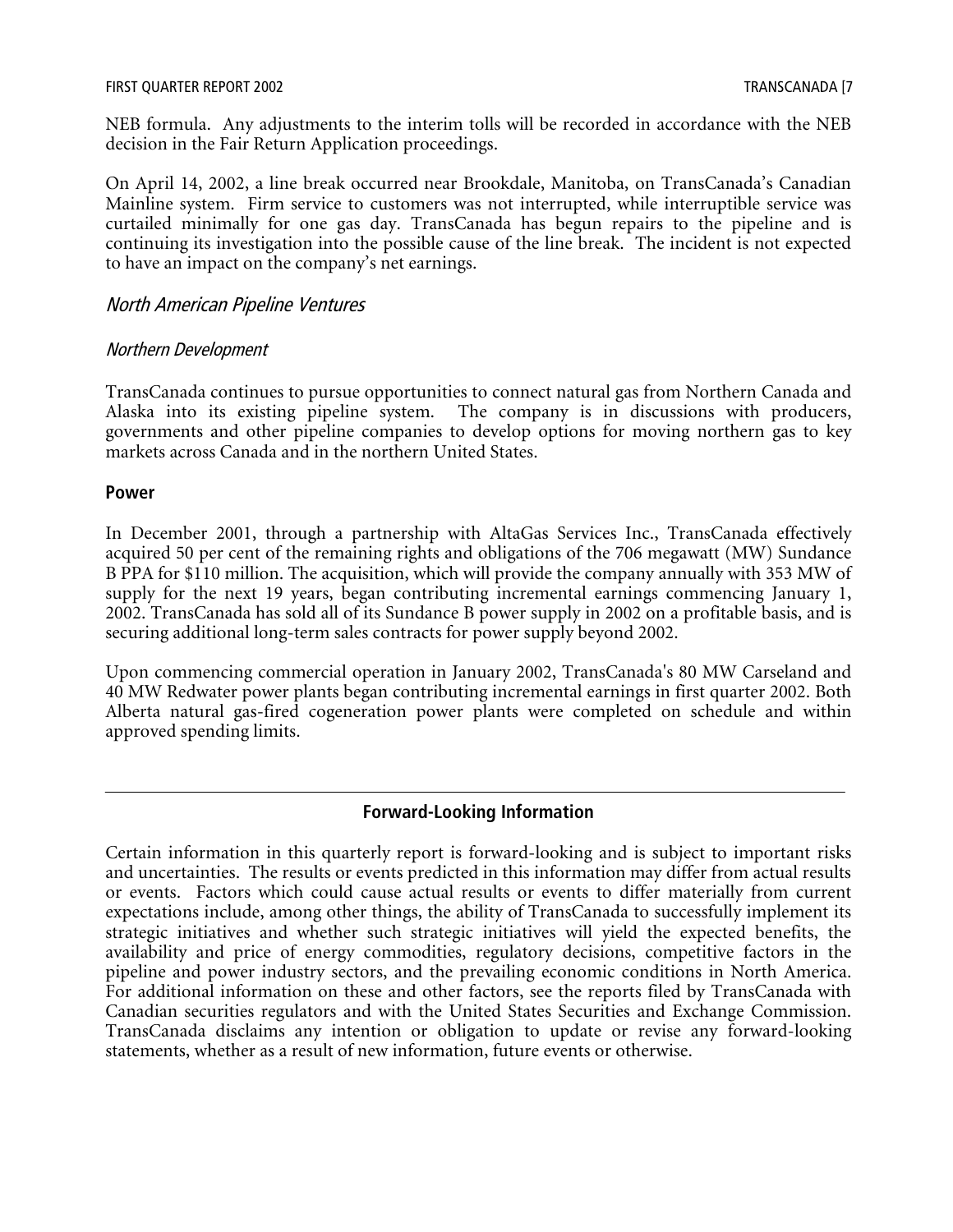#### FIRST QUARTER REPORT 2002 TRANSCANADA [7

NEB formula. Any adjustments to the interim tolls will be recorded in accordance with the NEB decision in the Fair Return Application proceedings.

On April 14, 2002, a line break occurred near Brookdale, Manitoba, on TransCanada's Canadian Mainline system. Firm service to customers was not interrupted, while interruptible service was curtailed minimally for one gas day. TransCanada has begun repairs to the pipeline and is continuing its investigation into the possible cause of the line break. The incident is not expected to have an impact on the company's net earnings.

#### North American Pipeline Ventures

#### Northern Development

TransCanada continues to pursue opportunities to connect natural gas from Northern Canada and Alaska into its existing pipeline system. The company is in discussions with producers, governments and other pipeline companies to develop options for moving northern gas to key markets across Canada and in the northern United States.

#### **Power**

In December 2001, through a partnership with AltaGas Services Inc., TransCanada effectively acquired 50 per cent of the remaining rights and obligations of the 706 megawatt (MW) Sundance B PPA for \$110 million. The acquisition, which will provide the company annually with 353 MW of supply for the next 19 years, began contributing incremental earnings commencing January 1, 2002. TransCanada has sold all of its Sundance B power supply in 2002 on a profitable basis, and is securing additional long-term sales contracts for power supply beyond 2002.

Upon commencing commercial operation in January 2002, TransCanada's 80 MW Carseland and 40 MW Redwater power plants began contributing incremental earnings in first quarter 2002. Both Alberta natural gas-fired cogeneration power plants were completed on schedule and within approved spending limits.

#### **Forward-Looking Information**

Certain information in this quarterly report is forward-looking and is subject to important risks and uncertainties. The results or events predicted in this information may differ from actual results or events. Factors which could cause actual results or events to differ materially from current expectations include, among other things, the ability of TransCanada to successfully implement its strategic initiatives and whether such strategic initiatives will yield the expected benefits, the availability and price of energy commodities, regulatory decisions, competitive factors in the pipeline and power industry sectors, and the prevailing economic conditions in North America. For additional information on these and other factors, see the reports filed by TransCanada with Canadian securities regulators and with the United States Securities and Exchange Commission. TransCanada disclaims any intention or obligation to update or revise any forward-looking statements, whether as a result of new information, future events or otherwise.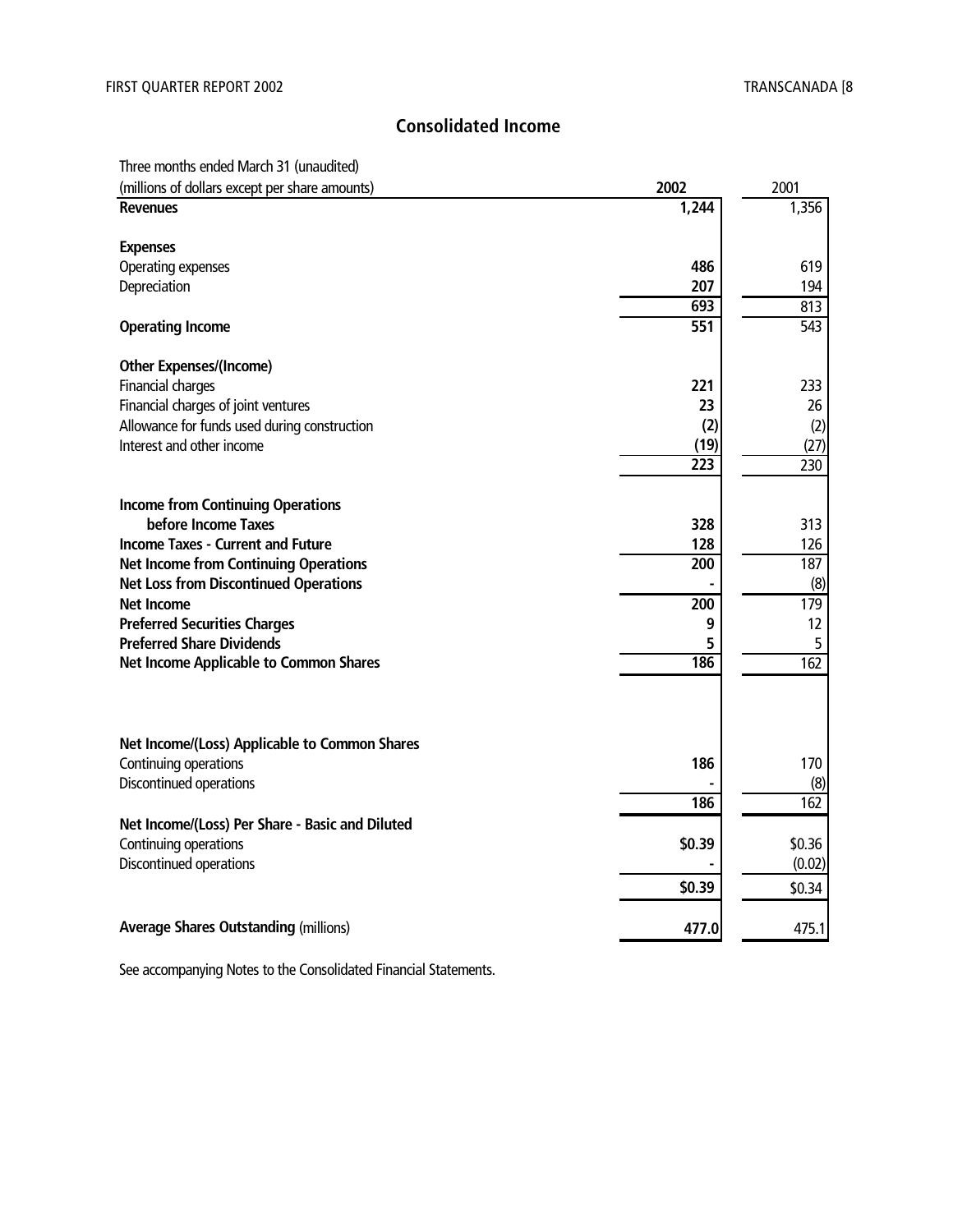#### **Consolidated Income**

#### Three months ended March 31 (unaudited)

| (millions of dollars except per share amounts)   | 2002             | 2001             |
|--------------------------------------------------|------------------|------------------|
| <b>Revenues</b>                                  | 1,244            | 1,356            |
|                                                  |                  |                  |
| <b>Expenses</b>                                  |                  |                  |
| Operating expenses                               | 486              | 619              |
| Depreciation                                     | 207<br>693       | 194<br>813       |
| <b>Operating Income</b>                          | $\overline{551}$ | $\overline{543}$ |
| <b>Other Expenses/(Income)</b>                   |                  |                  |
| Financial charges                                | 221              | 233              |
| Financial charges of joint ventures              | 23               | 26               |
| Allowance for funds used during construction     | (2)              | (2)              |
| Interest and other income                        | (19)             | (27)             |
|                                                  | 223              | 230              |
|                                                  |                  |                  |
| <b>Income from Continuing Operations</b>         |                  |                  |
| before Income Taxes                              | 328              | 313              |
| <b>Income Taxes - Current and Future</b>         | 128              | 126              |
| <b>Net Income from Continuing Operations</b>     | 200              | 187              |
| <b>Net Loss from Discontinued Operations</b>     |                  | (8)              |
| Net Income                                       | 200              | 179              |
| <b>Preferred Securities Charges</b>              | 9                | 12               |
| <b>Preferred Share Dividends</b>                 | 5                | 5                |
| <b>Net Income Applicable to Common Shares</b>    | 186              | 162              |
|                                                  |                  |                  |
| Net Income/(Loss) Applicable to Common Shares    |                  |                  |
| Continuing operations                            | 186              | 170              |
| Discontinued operations                          |                  | (8)              |
|                                                  | 186              | 162              |
| Net Income/(Loss) Per Share - Basic and Diluted  |                  |                  |
|                                                  | \$0.39           | \$0.36           |
| Continuing operations<br>Discontinued operations |                  |                  |
|                                                  |                  | (0.02)           |
|                                                  | \$0.39           | \$0.34           |
| <b>Average Shares Outstanding (millions)</b>     | 477.0            | 475.1            |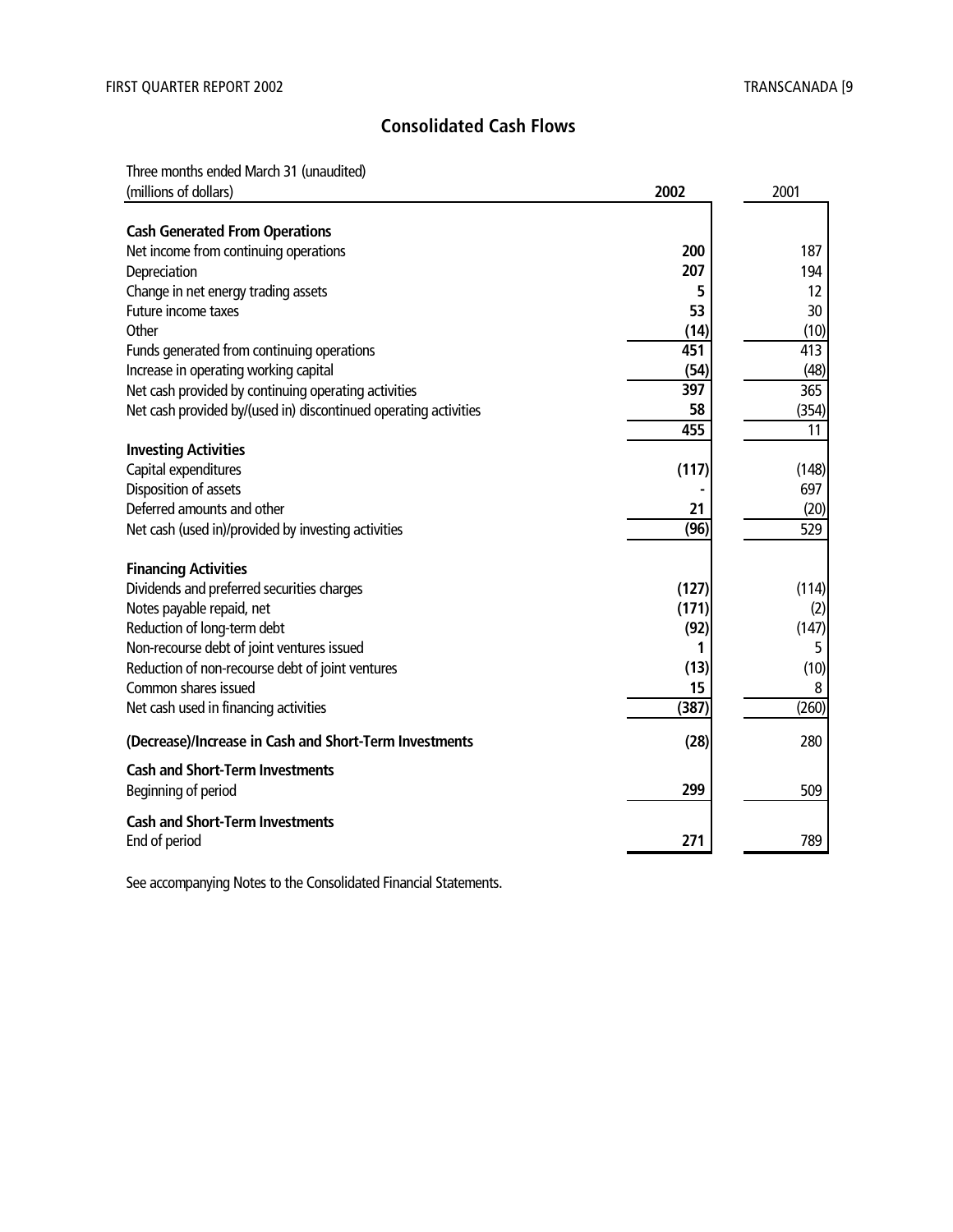#### **Consolidated Cash Flows**

Three months ended March 31 (unaudited)

| (millions of dollars)                                            | 2002  | 2001  |
|------------------------------------------------------------------|-------|-------|
|                                                                  |       |       |
| <b>Cash Generated From Operations</b>                            | 200   | 187   |
| Net income from continuing operations                            | 207   |       |
| Depreciation                                                     |       | 194   |
| Change in net energy trading assets                              | 5     | 12    |
| Future income taxes                                              | 53    | 30    |
| Other                                                            | (14)  | (10)  |
| Funds generated from continuing operations                       | 451   | 413   |
| Increase in operating working capital                            | (54)  | (48)  |
| Net cash provided by continuing operating activities             | 397   | 365   |
| Net cash provided by/(used in) discontinued operating activities | 58    | (354) |
|                                                                  | 455   | 11    |
| <b>Investing Activities</b>                                      |       |       |
| Capital expenditures                                             | (117) | (148) |
| Disposition of assets                                            |       | 697   |
| Deferred amounts and other                                       | 21    | (20)  |
| Net cash (used in)/provided by investing activities              | (96)  | 529   |
|                                                                  |       |       |
| <b>Financing Activities</b>                                      |       |       |
| Dividends and preferred securities charges                       | (127) | (114) |
| Notes payable repaid, net                                        | (171) | (2)   |
| Reduction of long-term debt                                      | (92)  | (147) |
| Non-recourse debt of joint ventures issued                       | 1     | 5     |
| Reduction of non-recourse debt of joint ventures                 | (13)  | (10)  |
| Common shares issued                                             | 15    | 8     |
| Net cash used in financing activities                            | (387) | (260) |
| (Decrease)/Increase in Cash and Short-Term Investments           | (28)  | 280   |
| <b>Cash and Short-Term Investments</b>                           |       |       |
| Beginning of period                                              | 299   | 509   |
| <b>Cash and Short-Term Investments</b>                           |       |       |
| End of period                                                    | 271   | 789   |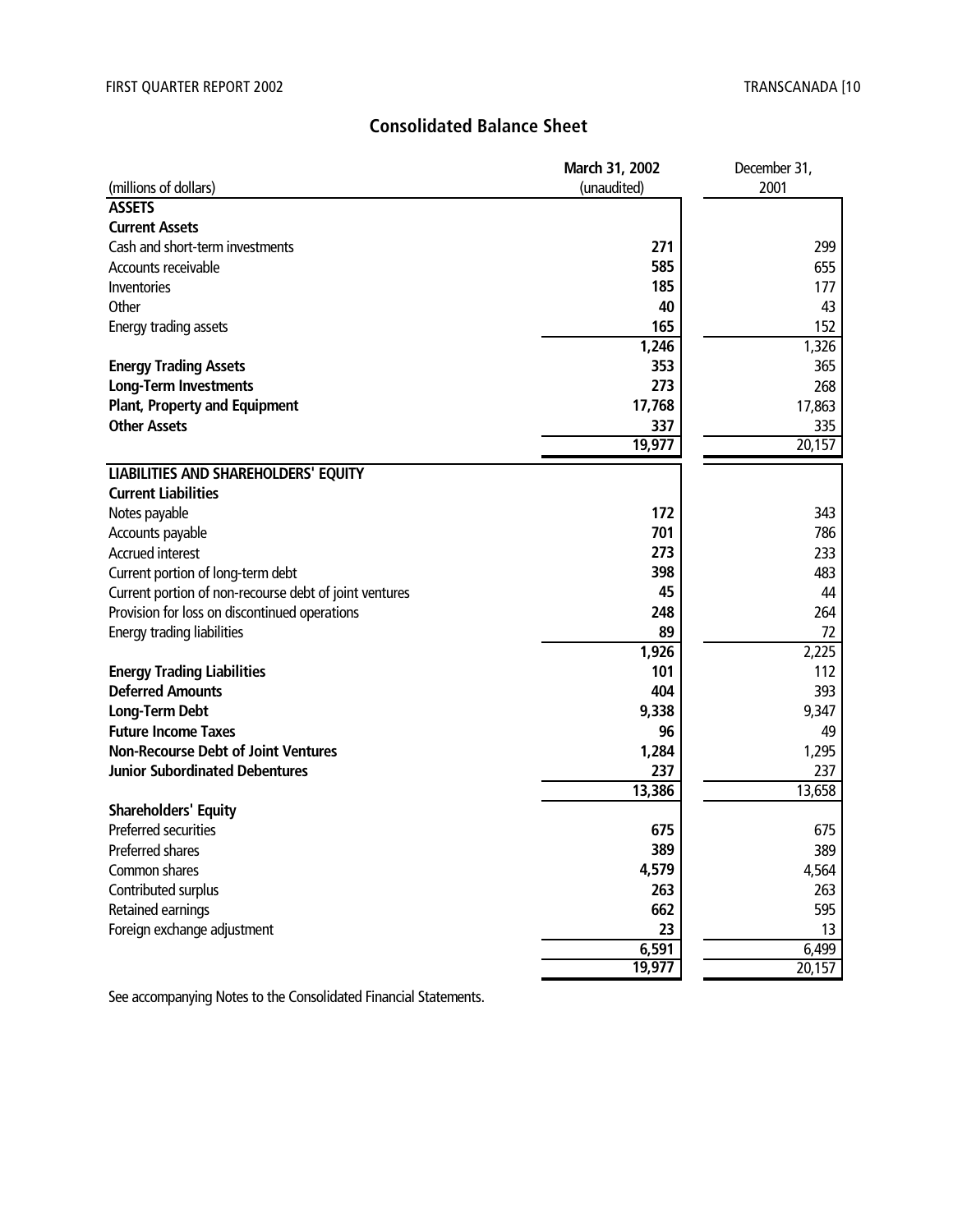#### **Consolidated Balance Sheet**

|                                                        | March 31, 2002 | December 31, |
|--------------------------------------------------------|----------------|--------------|
| (millions of dollars)                                  | (unaudited)    | 2001         |
| <b>ASSETS</b>                                          |                |              |
| <b>Current Assets</b>                                  |                |              |
| Cash and short-term investments                        | 271            | 299          |
| Accounts receivable                                    | 585            | 655          |
| Inventories                                            | 185            | 177          |
| Other                                                  | 40             | 43           |
| Energy trading assets                                  | 165            | 152          |
|                                                        | 1,246          | 1,326        |
| <b>Energy Trading Assets</b>                           | 353            | 365          |
| <b>Long-Term Investments</b>                           | 273            | 268          |
| <b>Plant, Property and Equipment</b>                   | 17,768         | 17,863       |
| <b>Other Assets</b>                                    | 337            | 335          |
|                                                        | 19,977         | 20,157       |
| <b>LIABILITIES AND SHAREHOLDERS' EQUITY</b>            |                |              |
| <b>Current Liabilities</b>                             |                |              |
| Notes payable                                          | 172            | 343          |
| Accounts payable                                       | 701            | 786          |
| <b>Accrued interest</b>                                | 273            | 233          |
| Current portion of long-term debt                      | 398            | 483          |
| Current portion of non-recourse debt of joint ventures | 45             | 44           |
| Provision for loss on discontinued operations          | 248            | 264          |
| Energy trading liabilities                             | 89             | 72           |
|                                                        | 1,926          | 2,225        |
| <b>Energy Trading Liabilities</b>                      | 101            | 112          |
| <b>Deferred Amounts</b>                                | 404            | 393          |
| <b>Long-Term Debt</b>                                  | 9,338          | 9,347        |
| <b>Future Income Taxes</b>                             | 96             | 49           |
| <b>Non-Recourse Debt of Joint Ventures</b>             | 1,284          | 1,295        |
| <b>Junior Subordinated Debentures</b>                  | 237            | 237          |
|                                                        | 13,386         | 13,658       |
| <b>Shareholders' Equity</b>                            |                |              |
| Preferred securities                                   | 675            | 675          |
| Preferred shares                                       | 389            | 389          |
| Common shares                                          | 4,579          | 4,564        |
| Contributed surplus                                    | 263            | 263          |
| Retained earnings                                      | 662            | 595          |
| Foreign exchange adjustment                            | 23             | 13           |
|                                                        | 6,591          | 6,499        |
|                                                        | 19,977         | 20,157       |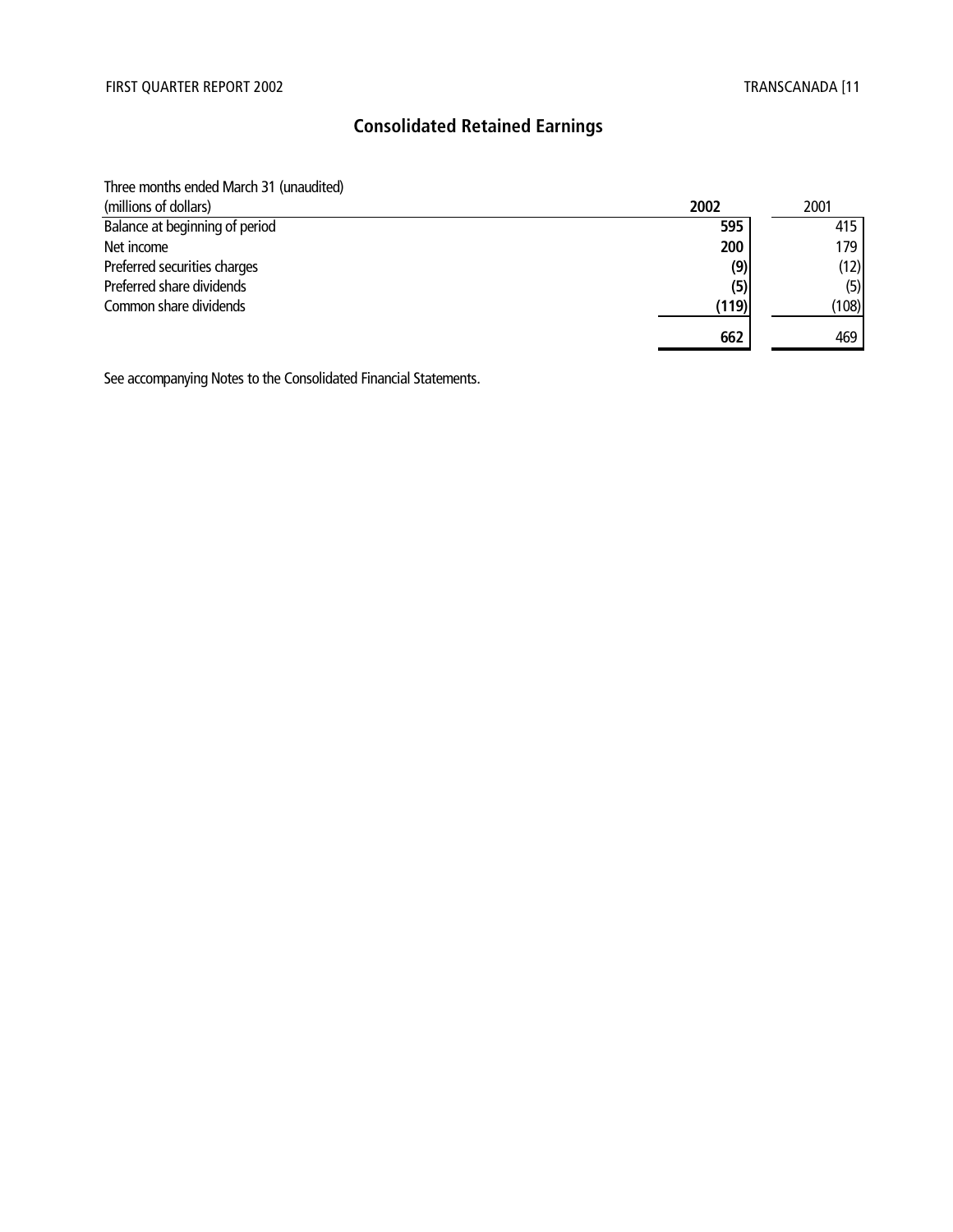#### **Consolidated Retained Earnings**

Three months ended March 31 (unaudited)

| (millions of dollars)          | 2002  | 2001  |
|--------------------------------|-------|-------|
| Balance at beginning of period | 595   | 415   |
| Net income                     | 200   | 179   |
| Preferred securities charges   | (9)   | (12)  |
| Preferred share dividends      | (5)   | (5)   |
| Common share dividends         | (119) | (108) |
|                                | 662   | 469   |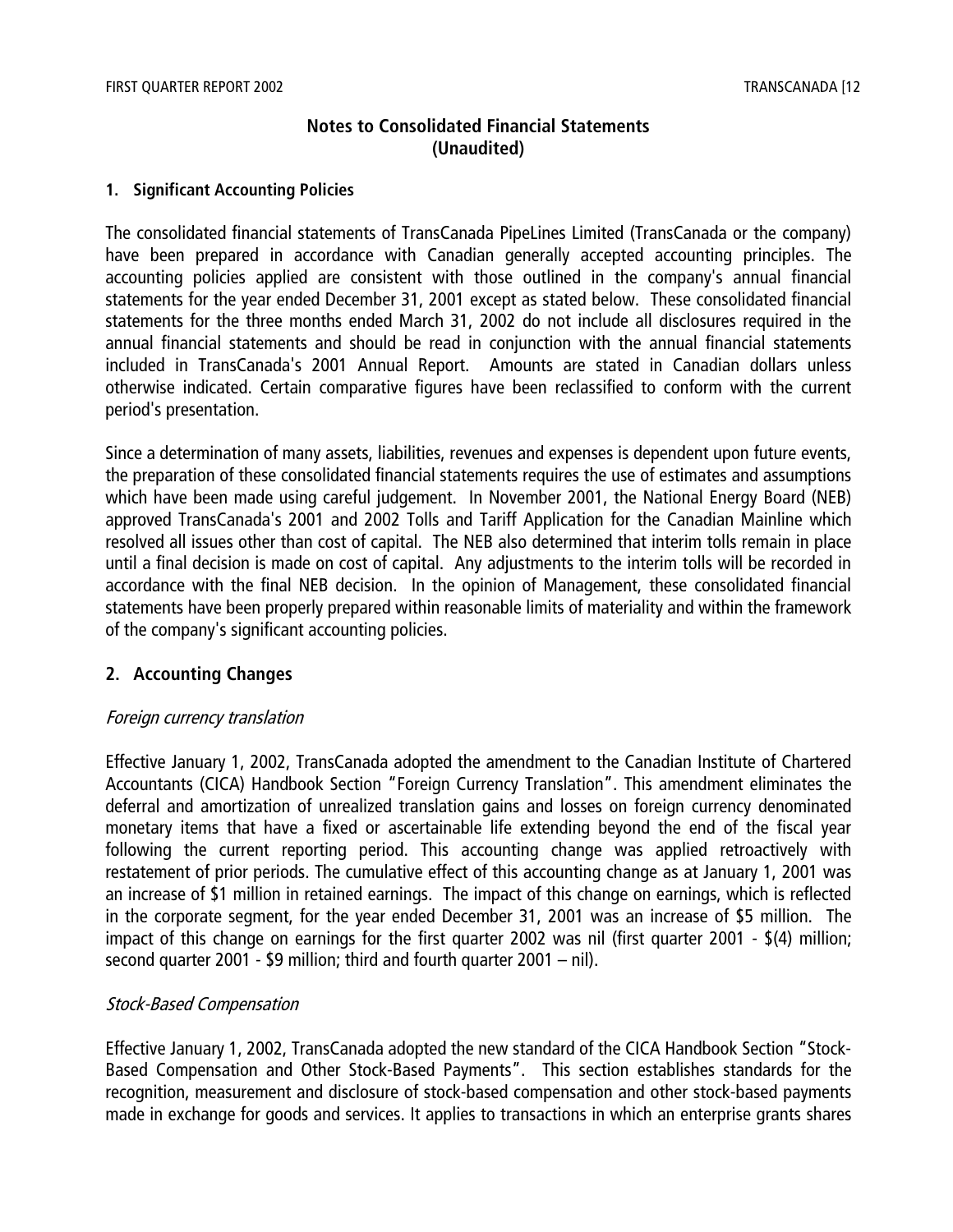#### **Notes to Consolidated Financial Statements (Unaudited)**

#### **1. Significant Accounting Policies**

The consolidated financial statements of TransCanada PipeLines Limited (TransCanada or the company) have been prepared in accordance with Canadian generally accepted accounting principles. The accounting policies applied are consistent with those outlined in the company's annual financial statements for the year ended December 31, 2001 except as stated below. These consolidated financial statements for the three months ended March 31, 2002 do not include all disclosures required in the annual financial statements and should be read in conjunction with the annual financial statements included in TransCanada's 2001 Annual Report. Amounts are stated in Canadian dollars unless otherwise indicated. Certain comparative figures have been reclassified to conform with the current period's presentation.

Since a determination of many assets, liabilities, revenues and expenses is dependent upon future events, the preparation of these consolidated financial statements requires the use of estimates and assumptions which have been made using careful judgement. In November 2001, the National Energy Board (NEB) approved TransCanada's 2001 and 2002 Tolls and Tariff Application for the Canadian Mainline which resolved all issues other than cost of capital. The NEB also determined that interim tolls remain in place until a final decision is made on cost of capital. Any adjustments to the interim tolls will be recorded in accordance with the final NEB decision. In the opinion of Management, these consolidated financial statements have been properly prepared within reasonable limits of materiality and within the framework of the company's significant accounting policies.

#### **2. Accounting Changes**

#### Foreign currency translation

Effective January 1, 2002, TransCanada adopted the amendment to the Canadian Institute of Chartered Accountants (CICA) Handbook Section "Foreign Currency Translation". This amendment eliminates the deferral and amortization of unrealized translation gains and losses on foreign currency denominated monetary items that have a fixed or ascertainable life extending beyond the end of the fiscal year following the current reporting period. This accounting change was applied retroactively with restatement of prior periods. The cumulative effect of this accounting change as at January 1, 2001 was an increase of \$1 million in retained earnings. The impact of this change on earnings, which is reflected in the corporate segment, for the year ended December 31, 2001 was an increase of \$5 million. The impact of this change on earnings for the first quarter 2002 was nil (first quarter 2001 - \$(4) million; second quarter 2001 - \$9 million; third and fourth quarter 2001 – nil).

#### Stock-Based Compensation

Effective January 1, 2002, TransCanada adopted the new standard of the CICA Handbook Section "Stock-Based Compensation and Other Stock-Based Payments". This section establishes standards for the recognition, measurement and disclosure of stock-based compensation and other stock-based payments made in exchange for goods and services. It applies to transactions in which an enterprise grants shares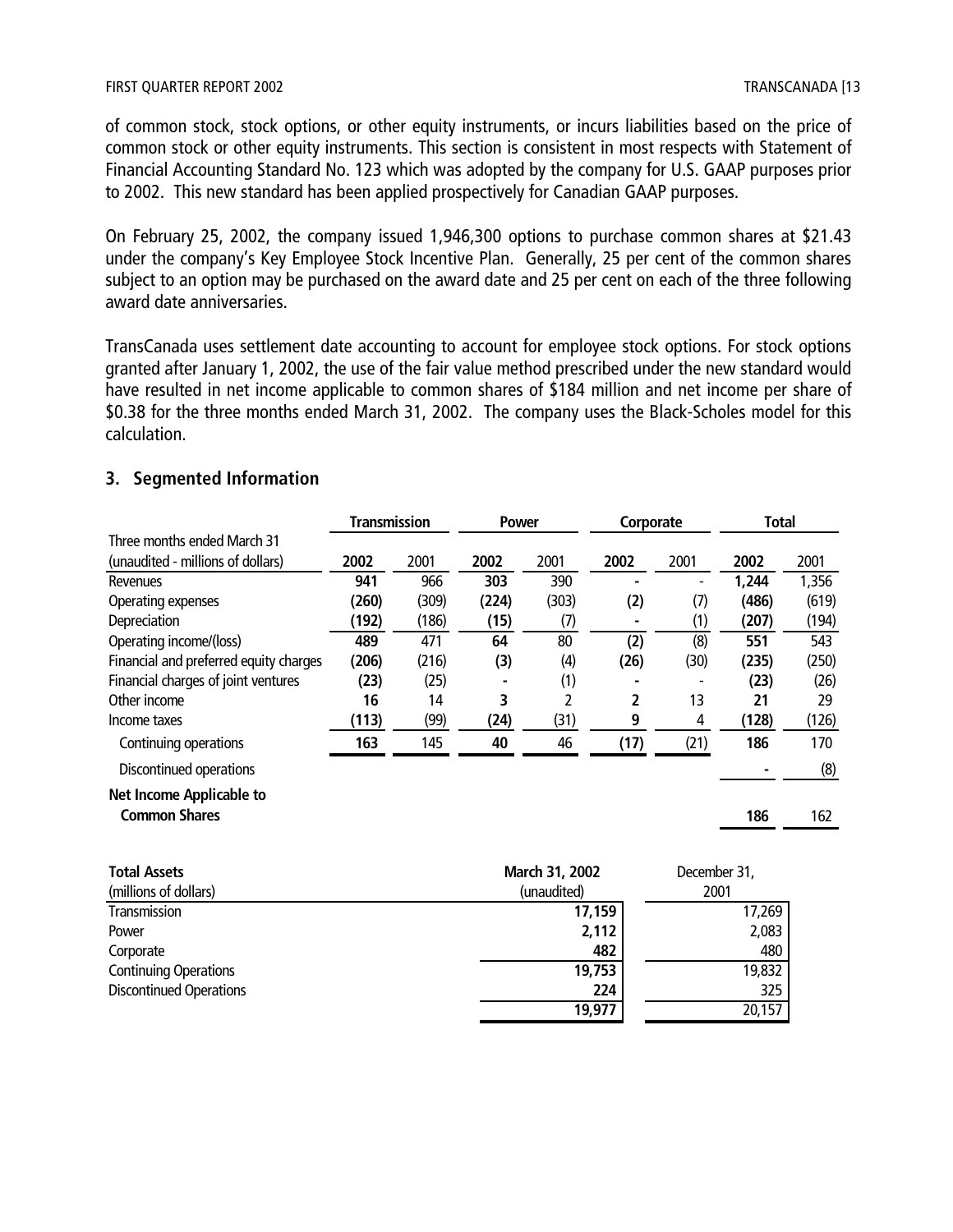of common stock, stock options, or other equity instruments, or incurs liabilities based on the price of common stock or other equity instruments. This section is consistent in most respects with Statement of Financial Accounting Standard No. 123 which was adopted by the company for U.S. GAAP purposes prior to 2002. This new standard has been applied prospectively for Canadian GAAP purposes.

On February 25, 2002, the company issued 1,946,300 options to purchase common shares at \$21.43 under the company's Key Employee Stock Incentive Plan. Generally, 25 per cent of the common shares subject to an option may be purchased on the award date and 25 per cent on each of the three following award date anniversaries.

TransCanada uses settlement date accounting to account for employee stock options. For stock options granted after January 1, 2002, the use of the fair value method prescribed under the new standard would have resulted in net income applicable to common shares of \$184 million and net income per share of \$0.38 for the three months ended March 31, 2002. The company uses the Black-Scholes model for this calculation.

#### **3. Segmented Information**

|                                        | <b>Transmission</b> |       | <b>Power</b> |                | Corporate |              | <b>Total</b> |       |
|----------------------------------------|---------------------|-------|--------------|----------------|-----------|--------------|--------------|-------|
| Three months ended March 31            |                     |       |              |                |           |              |              |       |
| (unaudited - millions of dollars)      | 2002                | 2001  | 2002         | 2001           | 2002      | 2001         | 2002         | 2001  |
| Revenues                               | 941                 | 966   | 303          | 390            |           |              | 1,244        | 1,356 |
| Operating expenses                     | (260)               | (309) | (224)        | (303)          | (2)       | (7)          | (486)        | (619) |
| Depreciation                           | (192)               | (186) | (15)         | (7)            |           | (1)          | (207)        | (194) |
| Operating income/(loss)                | 489                 | 471   | 64           | 80             | (2)       | (8)          | 551          | 543   |
| Financial and preferred equity charges | (206)               | (216) | (3)          | (4)            | (26)      | (30)         | (235)        | (250) |
| Financial charges of joint ventures    | (23)                | (25)  |              | (1)            |           |              | (23)         | (26)  |
| Other income                           | 16                  | 14    | 3            |                | 2         | 13           | 21           | 29    |
| Income taxes                           | (113)               | (99)  | (24)         | (31)           | 9         | 4            | (128)        | (126) |
| Continuing operations                  | 163                 | 145   | 40           | 46             | (17)      | (21)         | 186          | 170   |
| Discontinued operations                |                     |       |              |                |           |              |              | (8)   |
| Net Income Applicable to               |                     |       |              |                |           |              |              |       |
| <b>Common Shares</b>                   |                     |       |              |                |           |              | 186          | 162   |
| <b>Total Assets</b>                    |                     |       |              | March 31, 2002 |           | December 31, |              |       |

| (millions of dollars)          | (unaudited) | 2001   |
|--------------------------------|-------------|--------|
| Transmission                   | 17,159      | 17,269 |
| Power                          | 2,112       | 2,083  |
| Corporate                      | 482         | 480    |
| <b>Continuing Operations</b>   | 19,753      | 19,832 |
| <b>Discontinued Operations</b> | 224         | 325    |
|                                | 19,977      | 20,157 |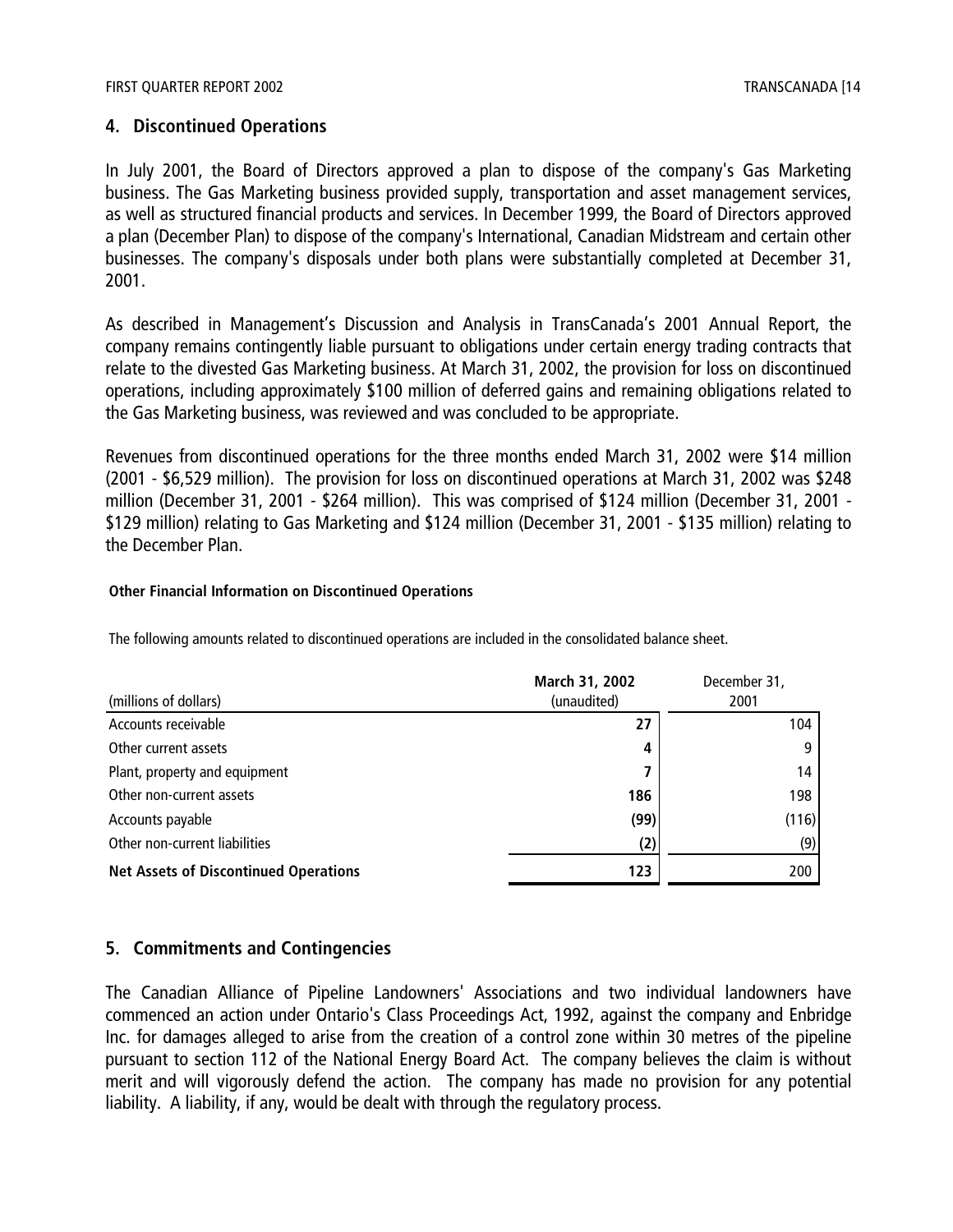#### **4. Discontinued Operations**

In July 2001, the Board of Directors approved a plan to dispose of the company's Gas Marketing business. The Gas Marketing business provided supply, transportation and asset management services, as well as structured financial products and services. In December 1999, the Board of Directors approved a plan (December Plan) to dispose of the company's International, Canadian Midstream and certain other businesses. The company's disposals under both plans were substantially completed at December 31, 2001.

As described in Management's Discussion and Analysis in TransCanada's 2001 Annual Report, the company remains contingently liable pursuant to obligations under certain energy trading contracts that relate to the divested Gas Marketing business. At March 31, 2002, the provision for loss on discontinued operations, including approximately \$100 million of deferred gains and remaining obligations related to the Gas Marketing business, was reviewed and was concluded to be appropriate.

Revenues from discontinued operations for the three months ended March 31, 2002 were \$14 million (2001 - \$6,529 million). The provision for loss on discontinued operations at March 31, 2002 was \$248 million (December 31, 2001 - \$264 million). This was comprised of \$124 million (December 31, 2001 - \$129 million) relating to Gas Marketing and \$124 million (December 31, 2001 - \$135 million) relating to the December Plan.

#### **Other Financial Information on Discontinued Operations**

The following amounts related to discontinued operations are included in the consolidated balance sheet.

| (millions of dollars)                        | March 31, 2002<br>(unaudited) | December 31,<br>2001 |
|----------------------------------------------|-------------------------------|----------------------|
|                                              |                               |                      |
| Accounts receivable                          | 27                            | 104                  |
| Other current assets                         | 4                             |                      |
| Plant, property and equipment                |                               | 14                   |
| Other non-current assets                     | 186                           | 198                  |
| Accounts payable                             | (99)                          | (116)                |
| Other non-current liabilities                | (2)                           | (9)                  |
| <b>Net Assets of Discontinued Operations</b> | 123                           | 200                  |

#### **5. Commitments and Contingencies**

The Canadian Alliance of Pipeline Landowners' Associations and two individual landowners have commenced an action under Ontario's Class Proceedings Act, 1992, against the company and Enbridge Inc. for damages alleged to arise from the creation of a control zone within 30 metres of the pipeline pursuant to section 112 of the National Energy Board Act. The company believes the claim is without merit and will vigorously defend the action. The company has made no provision for any potential liability. A liability, if any, would be dealt with through the regulatory process.